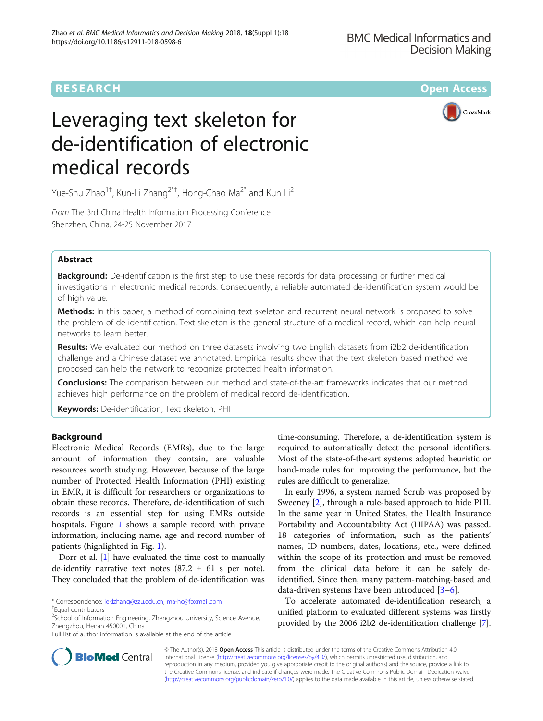

# Leveraging text skeleton for de-identification of electronic medical records

CrossMark

Yue-Shu Zhao<sup>1†</sup>, Kun-Li Zhang<sup>2\*†</sup>, Hong-Chao Ma<sup>2\*</sup> and Kun Li<sup>2</sup>

From The 3rd China Health Information Processing Conference Shenzhen, China. 24-25 November 2017

# Abstract

**Background:** De-identification is the first step to use these records for data processing or further medical investigations in electronic medical records. Consequently, a reliable automated de-identification system would be of high value.

Methods: In this paper, a method of combining text skeleton and recurrent neural network is proposed to solve the problem of de-identification. Text skeleton is the general structure of a medical record, which can help neural networks to learn better.

Results: We evaluated our method on three datasets involving two English datasets from i2b2 de-identification challenge and a Chinese dataset we annotated. Empirical results show that the text skeleton based method we proposed can help the network to recognize protected health information.

**Conclusions:** The comparison between our method and state-of-the-art frameworks indicates that our method achieves high performance on the problem of medical record de-identification.

Keywords: De-identification, Text skeleton, PHI

# Background

Electronic Medical Records (EMRs), due to the large amount of information they contain, are valuable resources worth studying. However, because of the large number of Protected Health Information (PHI) existing in EMR, it is difficult for researchers or organizations to obtain these records. Therefore, de-identification of such records is an essential step for using EMRs outside hospitals. Figure [1](#page-1-0) shows a sample record with private information, including name, age and record number of patients (highlighted in Fig. [1](#page-1-0)).

Dorr et al. [[1\]](#page-6-0) have evaluated the time cost to manually de-identify narrative text notes  $(87.2 \pm 61 \text{ s per note}).$ They concluded that the problem of de-identification was

Full list of author information is available at the end of the article

time-consuming. Therefore, a de-identification system is required to automatically detect the personal identifiers. Most of the state-of-the-art systems adopted heuristic or hand-made rules for improving the performance, but the rules are difficult to generalize.

In early 1996, a system named Scrub was proposed by Sweeney [[2\]](#page-6-0), through a rule-based approach to hide PHI. In the same year in United States, the Health Insurance Portability and Accountability Act (HIPAA) was passed. 18 categories of information, such as the patients' names, ID numbers, dates, locations, etc., were defined within the scope of its protection and must be removed from the clinical data before it can be safely deidentified. Since then, many pattern-matching-based and data-driven systems have been introduced [[3](#page-6-0)–[6\]](#page-6-0).

To accelerate automated de-identification research, a unified platform to evaluated different systems was firstly provided by the 2006 i2b2 de-identification challenge [[7](#page-6-0)].



© The Author(s). 2018 Open Access This article is distributed under the terms of the Creative Commons Attribution 4.0 International License [\(http://creativecommons.org/licenses/by/4.0/](http://creativecommons.org/licenses/by/4.0/)), which permits unrestricted use, distribution, and reproduction in any medium, provided you give appropriate credit to the original author(s) and the source, provide a link to the Creative Commons license, and indicate if changes were made. The Creative Commons Public Domain Dedication waiver [\(http://creativecommons.org/publicdomain/zero/1.0/](http://creativecommons.org/publicdomain/zero/1.0/)) applies to the data made available in this article, unless otherwise stated.

<sup>\*</sup> Correspondence: [ieklzhang@zzu.edu.cn](mailto:ieklzhang@zzu.edu.cn); [ma-hc@foxmail.com](mailto:ma-hc@foxmail.com) †

Equal contributors

<sup>&</sup>lt;sup>2</sup>School of Information Engineering, Zhengzhou University, Science Avenue, Zhengzhou, Henan 450001, China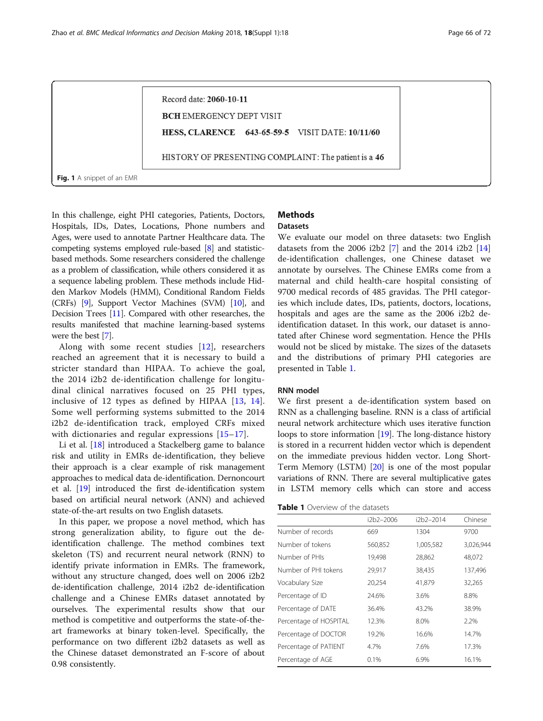<span id="page-1-0"></span>Record date: 2060-10-11 **BCH EMERGENCY DEPT VISIT** HESS, CLARENCE 643-65-59-5 VISIT DATE: 10/11/60 HISTORY OF PRESENTING COMPLAINT: The patient is a 46 Fig. 1 A snippet of an EMR

In this challenge, eight PHI categories, Patients, Doctors, Hospitals, IDs, Dates, Locations, Phone numbers and Ages, were used to annotate Partner Healthcare data. The competing systems employed rule-based [\[8\]](#page-6-0) and statisticbased methods. Some researchers considered the challenge as a problem of classification, while others considered it as a sequence labeling problem. These methods include Hidden Markov Models (HMM), Conditional Random Fields (CRFs) [\[9\]](#page-6-0), Support Vector Machines (SVM) [[10](#page-6-0)], and Decision Trees [\[11\]](#page-6-0). Compared with other researches, the results manifested that machine learning-based systems were the best [[7](#page-6-0)].

Along with some recent studies [[12](#page-6-0)], researchers reached an agreement that it is necessary to build a stricter standard than HIPAA. To achieve the goal, the 2014 i2b2 de-identification challenge for longitudinal clinical narratives focused on 25 PHI types, inclusive of 12 types as defined by HIPAA [\[13,](#page-6-0) [14](#page-6-0)]. Some well performing systems submitted to the 2014 i2b2 de-identification track, employed CRFs mixed with dictionaries and regular expressions [[15](#page-6-0)–[17](#page-6-0)].

Li et al. [\[18\]](#page-6-0) introduced a Stackelberg game to balance risk and utility in EMRs de-identification, they believe their approach is a clear example of risk management approaches to medical data de-identification. Dernoncourt et al. [[19](#page-6-0)] introduced the first de-identification system based on artificial neural network (ANN) and achieved state-of-the-art results on two English datasets.

In this paper, we propose a novel method, which has strong generalization ability, to figure out the deidentification challenge. The method combines text skeleton (TS) and recurrent neural network (RNN) to identify private information in EMRs. The framework, without any structure changed, does well on 2006 i2b2 de-identification challenge, 2014 i2b2 de-identification challenge and a Chinese EMRs dataset annotated by ourselves. The experimental results show that our method is competitive and outperforms the state-of-theart frameworks at binary token-level. Specifically, the performance on two different i2b2 datasets as well as the Chinese dataset demonstrated an F-score of about 0.98 consistently.

# **Methods**

**Datasets** 

We evaluate our model on three datasets: two English datasets from the 2006 i2b2 [[7\]](#page-6-0) and the 2014 i2b2 [[14](#page-6-0)] de-identification challenges, one Chinese dataset we annotate by ourselves. The Chinese EMRs come from a maternal and child health-care hospital consisting of 9700 medical records of 485 gravidas. The PHI categories which include dates, IDs, patients, doctors, locations, hospitals and ages are the same as the 2006 i2b2 deidentification dataset. In this work, our dataset is annotated after Chinese word segmentation. Hence the PHIs would not be sliced by mistake. The sizes of the datasets and the distributions of primary PHI categories are presented in Table 1.

#### RNN model

We first present a de-identification system based on RNN as a challenging baseline. RNN is a class of artificial neural network architecture which uses iterative function loops to store information [\[19\]](#page-6-0). The long-distance history is stored in a recurrent hidden vector which is dependent on the immediate previous hidden vector. Long Short-Term Memory (LSTM) [\[20\]](#page-7-0) is one of the most popular variations of RNN. There are several multiplicative gates in LSTM memory cells which can store and access

| <b>Table 1</b> Overview of the datasets |
|-----------------------------------------|
|-----------------------------------------|

|                        | i2b2–2006 | i2b2-2014 | Chinese   |
|------------------------|-----------|-----------|-----------|
| Number of records      | 669       | 1304      | 9700      |
| Number of tokens       | 560,852   | 1,005,582 | 3,026,944 |
| Number of PHIs         | 19,498    | 28,862    | 48,072    |
| Number of PHI tokens   | 29,917    | 38,435    | 137,496   |
| Vocabulary Size        | 20,254    | 41,879    | 32,265    |
| Percentage of ID       | 24.6%     | 3.6%      | 8.8%      |
| Percentage of DATE     | 36.4%     | 43.2%     | 38.9%     |
| Percentage of HOSPITAL | 12.3%     | 8.0%      | 2.2%      |
| Percentage of DOCTOR   | 19.2%     | 16.6%     | 14.7%     |
| Percentage of PATIENT  | 4.7%      | 7.6%      | 17.3%     |
| Percentage of AGE      | 0.1%      | 6.9%      | 16.1%     |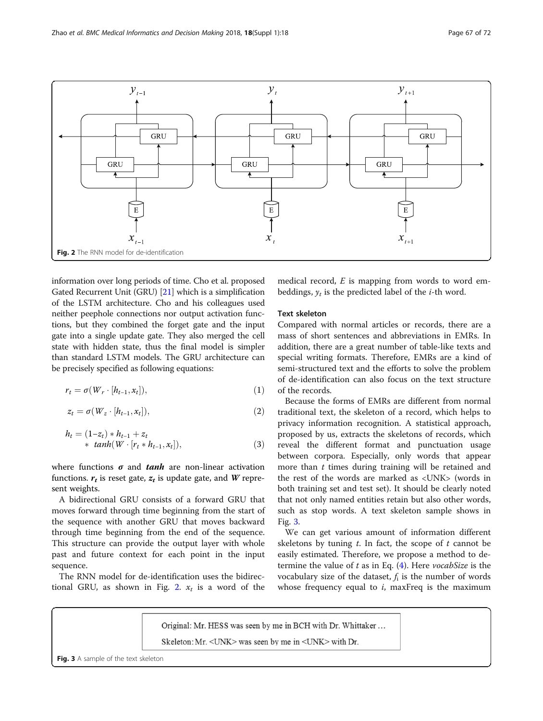

information over long periods of time. Cho et al. proposed Gated Recurrent Unit (GRU) [\[21](#page-7-0)] which is a simplification of the LSTM architecture. Cho and his colleagues used neither peephole connections nor output activation functions, but they combined the forget gate and the input gate into a single update gate. They also merged the cell state with hidden state, thus the final model is simpler than standard LSTM models. The GRU architecture can be precisely specified as following equations:

$$
r_t = \sigma(W_r \cdot [h_{t-1}, x_t]), \qquad (1)
$$

$$
z_t = \sigma(W_z \cdot [h_{t-1}, x_t]), \qquad (2)
$$

$$
h_t = (1 - z_t) * h_{t-1} + z_t \n * tanh(W \cdot [r_t * h_{t-1}, x_t]),
$$
\n(3)

where functions  $\sigma$  and *tanh* are non-linear activation functions.  $r_t$  is reset gate,  $z_t$  is update gate, and W represent weights.

A bidirectional GRU consists of a forward GRU that moves forward through time beginning from the start of the sequence with another GRU that moves backward through time beginning from the end of the sequence. This structure can provide the output layer with whole past and future context for each point in the input sequence.

The RNN model for de-identification uses the bidirectional GRU, as shown in Fig. 2.  $x_t$  is a word of the

medical record,  $E$  is mapping from words to word embeddings,  $y_t$  is the predicted label of the *i*-th word.

#### Text skeleton

Compared with normal articles or records, there are a mass of short sentences and abbreviations in EMRs. In addition, there are a great number of table-like texts and special writing formats. Therefore, EMRs are a kind of semi-structured text and the efforts to solve the problem of de-identification can also focus on the text structure of the records.

Because the forms of EMRs are different from normal traditional text, the skeleton of a record, which helps to privacy information recognition. A statistical approach, proposed by us, extracts the skeletons of records, which reveal the different format and punctuation usage between corpora. Especially, only words that appear more than  $t$  times during training will be retained and the rest of the words are marked as <UNK> (words in both training set and test set). It should be clearly noted that not only named entities retain but also other words, such as stop words. A text skeleton sample shows in Fig. 3.

We can get various amount of information different skeletons by tuning  $t$ . In fact, the scope of  $t$  cannot be easily estimated. Therefore, we propose a method to determine the value of  $t$  as in Eq. [\(4](#page-3-0)). Here *vocabSize* is the vocabulary size of the dataset,  $f_i$  is the number of words whose frequency equal to  $i$ , maxFreq is the maximum

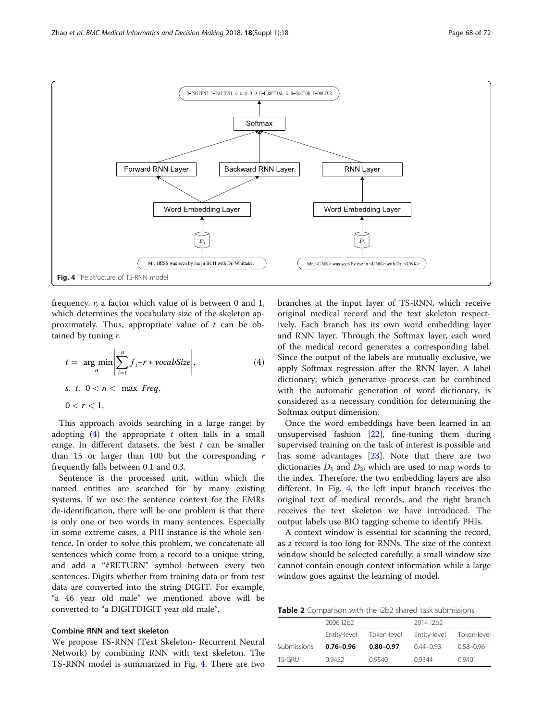<span id="page-3-0"></span>

frequency. r, a factor which value of is between 0 and 1, which determines the vocabulary size of the skeleton approximately. Thus, appropriate value of  $t$  can be obtained by tuning  $r$ .

$$
t = \underset{n}{\arg\min} \left| \sum_{i=t}^{n} f_i - r * \text{vocabSize} \right|,
$$
\n
$$
s. \ t. \ 0 < n < \max \ \text{Freq},
$$
\n
$$
0 < r < 1,
$$
\n
$$
(4)
$$

This approach avoids searching in a large range: by adopting  $(4)$  the appropriate t often falls in a small range. In different datasets, the best  $t$  can be smaller than 15 or larger than 100 but the corresponding  $r$ frequently falls between 0.1 and 0.3.

Sentence is the processed unit, within which the named entities are searched for by many existing systems. If we use the sentence context for the EMRs de-identification, there will be one problem is that there is only one or two words in many sentences. Especially in some extreme cases, a PHI instance is the whole sentence. In order to solve this problem, we concatenate all sentences which come from a record to a unique string, and add a "#RETURN" symbol between every two sentences. Digits whether from training data or from test data are converted into the string DIGIT. For example, "a 46 year old male" we mentioned above will be converted to "a DIGITDIGIT year old male".

#### Combine RNN and text skeleton

We propose TS-RNN (Text Skeleton- Recurrent Neural Network) by combining RNN with text skeleton. The TS-RNN model is summarized in Fig. 4. There are two

branches at the input layer of TS-RNN, which receive original medical record and the text skeleton respectively. Each branch has its own word embedding layer and RNN layer. Through the Softmax layer, each word of the medical record generates a corresponding label. Since the output of the labels are mutually exclusive, we apply Softmax regression after the RNN layer. A label dictionary, which generative process can be combined with the automatic generation of word dictionary, is considered as a necessary condition for determining the Softmax output dimension.

Once the word embeddings have been learned in an unsupervised fashion [[22\]](#page-7-0), fine-tuning them during supervised training on the task of interest is possible and has some advantages [[23](#page-7-0)]. Note that there are two dictionaries  $D_1$  and  $D_2$ , which are used to map words to the index. Therefore, the two embedding layers are also different. In Fig. 4, the left input branch receives the original text of medical records, and the right branch receives the text skeleton we have introduced. The output labels use BIO tagging scheme to identify PHIs.

A context window is essential for scanning the record, as a record is too long for RNNs. The size of the context window should be selected carefully: a small window size cannot contain enough context information while a large window goes against the learning of model.

Table 2 Comparison with the i2b2 shared task submissions

|             | 2006 i2b2     |               | 2014 i2b2     |               |  |
|-------------|---------------|---------------|---------------|---------------|--|
|             | Entity-level  | Token-level   | Entity-level  | Token-level   |  |
| Submissions | $0.76 - 0.96$ | $0.80 - 0.97$ | $0.44 - 0.93$ | $0.58 - 0.96$ |  |
| TS-GRU      | 0.9452        | 0.9540        | 09344         | 0.9401        |  |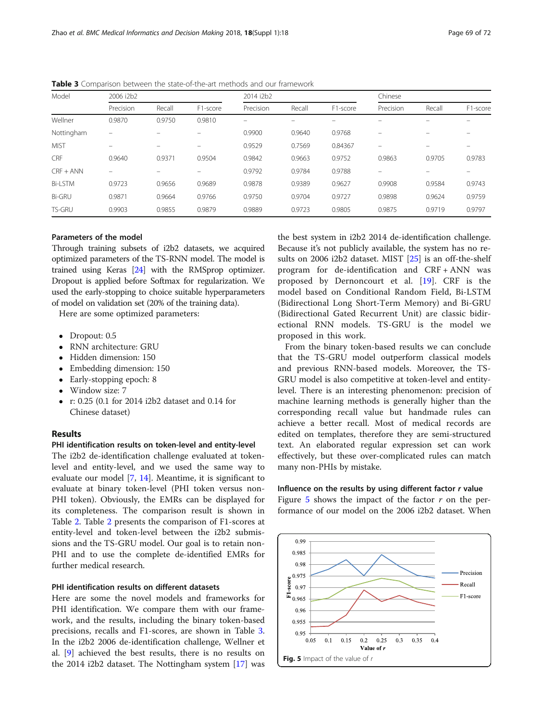| Model          | 2006 i2b2         |        |          |           | 2014 i2b2 |          |                          | Chinese |          |  |
|----------------|-------------------|--------|----------|-----------|-----------|----------|--------------------------|---------|----------|--|
|                | Precision         | Recall | F1-score | Precision | Recall    | F1-score | Precision                | Recall  | F1-score |  |
| Wellner        | 0.9870            | 0.9750 | 0.9810   |           |           |          |                          |         |          |  |
| Nottingham     | $\qquad \qquad =$ |        |          | 0.9900    | 0.9640    | 0.9768   |                          |         |          |  |
| <b>MIST</b>    |                   |        |          | 0.9529    | 0.7569    | 0.84367  | $\overline{\phantom{0}}$ |         |          |  |
| CRF            | 0.9640            | 0.9371 | 0.9504   | 0.9842    | 0.9663    | 0.9752   | 0.9863                   | 0.9705  | 0.9783   |  |
| $CRF + ANN$    | -                 | -      |          | 0.9792    | 0.9784    | 0.9788   | $\overline{\phantom{0}}$ |         |          |  |
| <b>Bi-LSTM</b> | 0.9723            | 0.9656 | 0.9689   | 0.9878    | 0.9389    | 0.9627   | 0.9908                   | 0.9584  | 0.9743   |  |
| <b>Bi-GRU</b>  | 0.9871            | 0.9664 | 0.9766   | 0.9750    | 0.9704    | 0.9727   | 0.9898                   | 0.9624  | 0.9759   |  |
| <b>TS-GRU</b>  | 0.9903            | 0.9855 | 0.9879   | 0.9889    | 0.9723    | 0.9805   | 0.9875                   | 0.9719  | 0.9797   |  |

Table 3 Comparison between the state-of-the-art methods and our framework

#### Parameters of the model

Through training subsets of i2b2 datasets, we acquired optimized parameters of the TS-RNN model. The model is trained using Keras [[24\]](#page-7-0) with the RMSprop optimizer. Dropout is applied before Softmax for regularization. We used the early-stopping to choice suitable hyperparameters of model on validation set (20% of the training data).

Here are some optimized parameters:

- Dropout: 0.5
- RNN architecture: GRU
- Hidden dimension: 150
- Embedding dimension: 150
- Early-stopping epoch: 8
- Window size: 7
- r: 0.25 (0.1 for 2014 i2b2 dataset and 0.14 for Chinese dataset)

### Results

#### PHI identification results on token-level and entity-level

The i2b2 de-identification challenge evaluated at tokenlevel and entity-level, and we used the same way to evaluate our model [[7,](#page-6-0) [14\]](#page-6-0). Meantime, it is significant to evaluate at binary token-level (PHI token versus non-PHI token). Obviously, the EMRs can be displayed for its completeness. The comparison result is shown in Table [2.](#page-3-0) Table [2](#page-3-0) presents the comparison of F1-scores at entity-level and token-level between the i2b2 submissions and the TS-GRU model. Our goal is to retain non-PHI and to use the complete de-identified EMRs for further medical research.

# PHI identification results on different datasets

Here are some the novel models and frameworks for PHI identification. We compare them with our framework, and the results, including the binary token-based precisions, recalls and F1-scores, are shown in Table 3. In the i2b2 2006 de-identification challenge, Wellner et al. [\[9](#page-6-0)] achieved the best results, there is no results on the 2014 i2b2 dataset. The Nottingham system [[17\]](#page-6-0) was the best system in i2b2 2014 de-identification challenge. Because it's not publicly available, the system has no results on 2006 i2b2 dataset. MIST [\[25](#page-7-0)] is an off-the-shelf program for de-identification and CRF + ANN was proposed by Dernoncourt et al. [[19\]](#page-6-0). CRF is the model based on Conditional Random Field, Bi-LSTM (Bidirectional Long Short-Term Memory) and Bi-GRU (Bidirectional Gated Recurrent Unit) are classic bidirectional RNN models. TS-GRU is the model we proposed in this work.

From the binary token-based results we can conclude that the TS-GRU model outperform classical models and previous RNN-based models. Moreover, the TS-GRU model is also competitive at token-level and entitylevel. There is an interesting phenomenon: precision of machine learning methods is generally higher than the corresponding recall value but handmade rules can achieve a better recall. Most of medical records are edited on templates, therefore they are semi-structured text. An elaborated regular expression set can work effectively, but these over-complicated rules can match many non-PHIs by mistake.

#### Influence on the results by using different factor  $r$  value

Figure  $5$  shows the impact of the factor  $r$  on the performance of our model on the 2006 i2b2 dataset. When

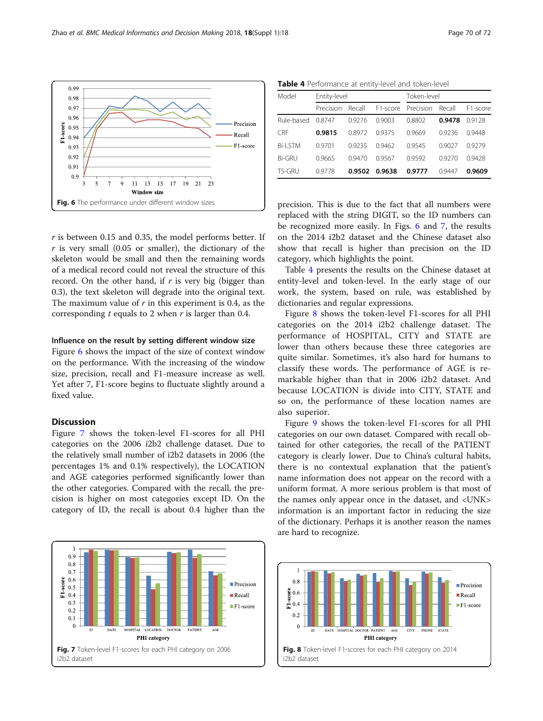$r$  is between 0.15 and 0.35, the model performs better. If  $r$  is very small (0.05 or smaller), the dictionary of the skeleton would be small and then the remaining words of a medical record could not reveal the structure of this record. On the other hand, if  $r$  is very big (bigger than 0.3), the text skeleton will degrade into the original text. The maximum value of  $r$  in this experiment is 0.4, as the corresponding  $t$  equals to 2 when  $r$  is larger than 0.4.

#### Influence on the result by setting different window size

Figure 6 shows the impact of the size of context window on the performance. With the increasing of the window size, precision, recall and F1-measure increase as well. Yet after 7, F1-score begins to fluctuate slightly around a fixed value.

## Discussion

 $0.99$ 

Figure 7 shows the token-level F1-scores for all PHI categories on the 2006 i2b2 challenge dataset. Due to the relatively small number of i2b2 datasets in 2006 (the percentages 1% and 0.1% respectively), the LOCATION and AGE categories performed significantly lower than the other categories. Compared with the recall, the precision is higher on most categories except ID. On the category of ID, the recall is about 0.4 higher than the



Table 4 Performance at entity-level and token-level

| Model          | Entity-level |        |                       | Token-level |        |          |  |
|----------------|--------------|--------|-----------------------|-------------|--------|----------|--|
|                | Precision    | Recall | F <sub>1</sub> -score | Precision   | Recall | F1-score |  |
| Rule-based     | 0.8747       | 09276  | 0.9003                | 0.8802      | 0.9478 | 09128    |  |
| <b>CRF</b>     | 0.9815       | 08972  | 09375                 | 0.9669      | 09236  | 0.9448   |  |
| <b>Bi-LSTM</b> | 0.9701       | 09235  | 0.9462                | 09545       | 0.9027 | 09279    |  |
| Bi-GRU         | 0.9665       | 0.9470 | 0.9567                | 09592       | 0.9270 | 0.9428   |  |
| TS-GRU         | 0.9778       | 0.9502 | 0.9638                | 0.9777      | 09447  | 0.9609   |  |

precision. This is due to the fact that all numbers were replaced with the string DIGIT, so the ID numbers can be recognized more easily. In Figs. 6 and 7, the results on the 2014 i2b2 dataset and the Chinese dataset also show that recall is higher than precision on the ID category, which highlights the point.

Table 4 presents the results on the Chinese dataset at entity-level and token-level. In the early stage of our work, the system, based on rule, was established by dictionaries and regular expressions.

Figure 8 shows the token-level F1-scores for all PHI categories on the 2014 i2b2 challenge dataset. The performance of HOSPITAL, CITY and STATE are lower than others because these three categories are quite similar. Sometimes, it's also hard for humans to classify these words. The performance of AGE is remarkable higher than that in 2006 i2b2 dataset. And because LOCATION is divide into CITY, STATE and so on, the performance of these location names are also superior.

Figure [9](#page-6-0) shows the token-level F1-scores for all PHI categories on our own dataset. Compared with recall obtained for other categories, the recall of the PATIENT category is clearly lower. Due to China's cultural habits, there is no contextual explanation that the patient's name information does not appear on the record with a uniform format. A more serious problem is that most of the names only appear once in the dataset, and <UNK> information is an important factor in reducing the size of the dictionary. Perhaps it is another reason the names are hard to recognize.



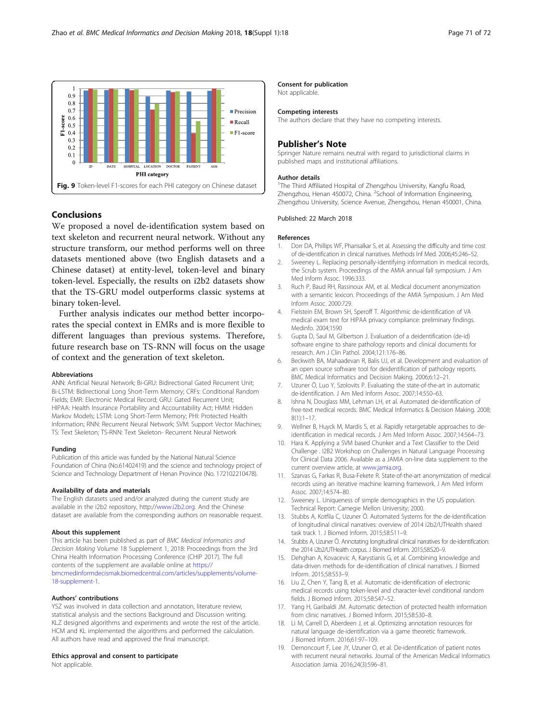<span id="page-6-0"></span>

#### Conclusions

We proposed a novel de-identification system based on text skeleton and recurrent neural network. Without any structure transform, our method performs well on three datasets mentioned above (two English datasets and a Chinese dataset) at entity-level, token-level and binary token-level. Especially, the results on i2b2 datasets show that the TS-GRU model outperforms classic systems at binary token-level.

Further analysis indicates our method better incorporates the special context in EMRs and is more flexible to different languages than previous systems. Therefore, future research base on TS-RNN will focus on the usage of context and the generation of text skeleton.

#### Abbreviations

ANN: Artificial Neural Network; Bi-GRU: Bidirectional Gated Recurrent Unit; Bi-LSTM: Bidirectional Long Short-Term Memory; CRFs: Conditional Random Fields; EMR: Electronic Medical Record; GRU: Gated Recurrent Unit; HIPAA: Health Insurance Portability and Accountability Act; HMM: Hidden Markov Models; LSTM: Long Short-Term Memory; PHI: Protected Health Information; RNN: Recurrent Neural Network; SVM: Support Vector Machines; TS: Text Skeleton; TS-RNN: Text Skeleton- Recurrent Neural Network

#### Funding

Publication of this article was funded by the National Natural Science Foundation of China (No.61402419) and the science and technology project of Science and Technology Department of Henan Province (No. 172102210478).

#### Availability of data and materials

The English datasets used and/or analyzed during the current study are available in the i2b2 repository, http:/[/www.i2b2.org.](http://www.i2b2.org) And the Chinese dataset are available from the corresponding authors on reasonable request.

#### About this supplement

This article has been published as part of BMC Medical Informatics and Decision Making Volume 18 Supplement 1, 2018: Proceedings from the 3rd China Health Information Processing Conference (CHIP 2017). The full contents of the supplement are available online at [https://](https://bmcmedinformdecismak.biomedcentral.com/articles/supplements/volume-18-supplement-1) [bmcmedinformdecismak.biomedcentral.com/articles/supplements/volume-](https://bmcmedinformdecismak.biomedcentral.com/articles/supplements/volume-18-supplement-1)[18-supplement-1.](https://bmcmedinformdecismak.biomedcentral.com/articles/supplements/volume-18-supplement-1)

#### Authors' contributions

YSZ was involved in data collection and annotation, literature review, statistical analysis and the sections Background and Discussion writing. KLZ designed algorithms and experiments and wrote the rest of the article. HCM and KL implemented the algorithms and performed the calculation. All authors have read and approved the final manuscript.

#### Ethics approval and consent to participate

Not applicable.

#### Consent for publication

Not applicable.

#### Competing interests

The authors declare that they have no competing interests.

#### Publisher's Note

Springer Nature remains neutral with regard to jurisdictional claims in published maps and institutional affiliations.

#### Author details

<sup>1</sup>The Third Affiliated Hospital of Zhengzhou University, Kangfu Road, Zhengzhou, Henan 450072, China. <sup>2</sup>School of Information Engineering Zhengzhou University, Science Avenue, Zhengzhou, Henan 450001, China.

#### Published: 22 March 2018

#### References

- 1. Dorr DA, Phillips WF, Phansalkar S, et al. Assessing the difficulty and time cost of de-identification in clinical narratives. Methods Inf Med. 2006;45:246–52.
- 2. Sweeney L. Replacing personally-identifying information in medical records, the Scrub system. Proceedings of the AMIA annual fall symposium. J Am Med Inform Assoc. 1996:333.
- 3. Ruch P, Baud RH, Rassinoux AM, et al. Medical document anonymization with a semantic lexicon. Proceedings of the AMIA Symposium. J Am Med Inform Assoc. 2000:729.
- 4. Fielstein EM, Brown SH, Speroff T. Algorithmic de-identification of VA medical exam text for HIPAA privacy compliance: preliminary findings. Medinfo. 2004;1590
- 5. Gupta D, Saul M, Gilbertson J. Evaluation of a deidentification (de-id) software engine to share pathology reports and clinical documents for research. Am J Clin Pathol. 2004;121:176–86.
- 6. Beckwith BA, Mahaadevan R, Balis UJ, et al. Development and evaluation of an open source software tool for deidentification of pathology reports. BMC Medical Informatics and Decision Making. 2006;6:12–21.
- 7. Uzuner Ö, Luo Y, Szolovits P. Evaluating the state-of-the-art in automatic de-identification. J Am Med Inform Assoc. 2007;14:550–63.
- 8. Ishna N, Douglass MM, Lehman LH, et al. Automated de-identification of free-text medical records. BMC Medical Informatics & Decision Making. 2008; 8(1):1–17.
- 9. Wellner B, Huyck M, Mardis S, et al. Rapidly retargetable approaches to deidentification in medical records. J Am Med Inform Assoc. 2007;14:564–73.
- 10. Hara K. Applying a SVM based Chunker and a Text Classifier to the Deid Challenge . I2B2 Workshop on Challenges in Natural Language Processing for Clinical Data 2006. Available as a JAMIA on-line data supplement to the current overview article, at [www.jamia.org](http://www.jamia.org).
- 11. Szarvas G, Farkas R, Busa-Fekete R. State-of-the-art anonymization of medical records using an iterative machine learning framework. J Am Med Inform Assoc. 2007;14:574–80.
- 12. Sweeney L. Uniqueness of simple demographics in the US population. Technical Report: Carnegie Mellon University; 2000.
- 13. Stubbs A, Kotfila C, Uzuner Ö. Automated Systems for the de-Identification of longitudinal clinical narratives: overview of 2014 i2b2/UTHealth shared task track 1. J Biomed Inform. 2015;58:S11–9.
- 14. Stubbs A, Uzuner Ö. Annotating longitudinal clinical narratives for de-identification: the 2014 i2b2/UTHealth corpus. J Biomed Inform. 2015;58:S20–9.
- 15. Dehghan A, Kovacevic A, Karystianis G, et al. Combining knowledge and data-driven methods for de-identification of clinical narratives. J Biomed Inform. 2015;58:S53–9.
- 16. Liu Z, Chen Y, Tang B, et al. Automatic de-identification of electronic medical records using token-level and character-level conditional random fields. J Biomed Inform. 2015;58:S47–52.
- 17. Yang H, Garibaldi JM. Automatic detection of protected health information from clinic narratives. J Biomed Inform. 2015;58:S30–8.
- 18. Li M, Carrell D, Aberdeen J, et al. Optimizing annotation resources for natural language de-identification via a game theoretic framework. J Biomed Inform. 2016;61:97–109.
- 19. Dernoncourt F, Lee JY, Uzuner O, et al. De-identification of patient notes with recurrent neural networks. Journal of the American Medical Informatics Association Jamia. 2016;24(3):596–81.